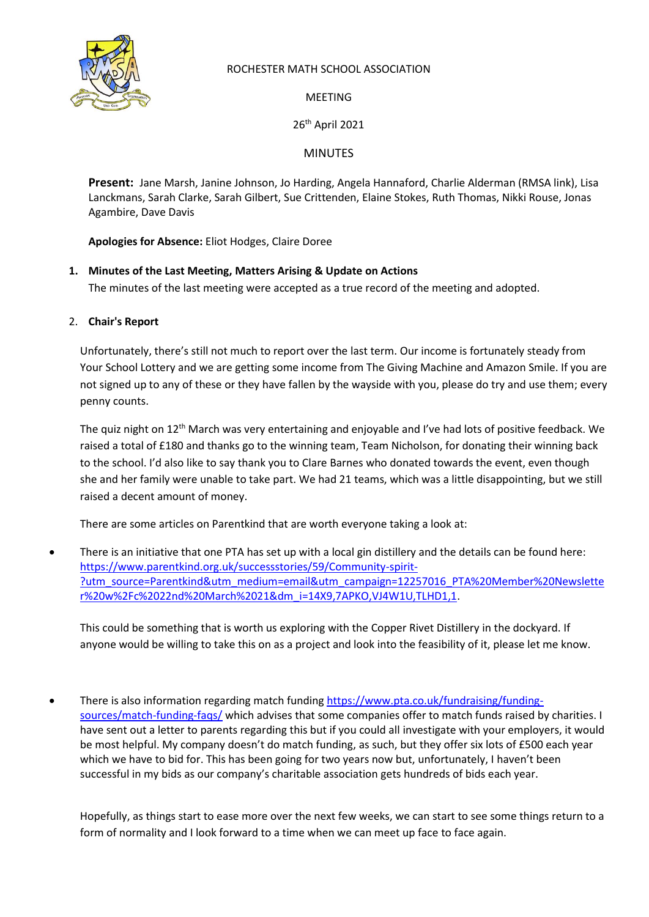

## ROCHESTER MATH SCHOOL ASSOCIATION

MEETING

26th April 2021

MINUTES

**Present:** Jane Marsh, Janine Johnson, Jo Harding, Angela Hannaford, Charlie Alderman (RMSA link), Lisa Lanckmans, Sarah Clarke, Sarah Gilbert, Sue Crittenden, Elaine Stokes, Ruth Thomas, Nikki Rouse, Jonas Agambire, Dave Davis

**Apologies for Absence:** Eliot Hodges, Claire Doree

# **1. Minutes of the Last Meeting, Matters Arising & Update on Actions**

The minutes of the last meeting were accepted as a true record of the meeting and adopted.

## 2. **Chair's Report**

Unfortunately, there's still not much to report over the last term. Our income is fortunately steady from Your School Lottery and we are getting some income from The Giving Machine and Amazon Smile. If you are not signed up to any of these or they have fallen by the wayside with you, please do try and use them; every penny counts.

The quiz night on 12th March was very entertaining and enjoyable and I've had lots of positive feedback. We raised a total of £180 and thanks go to the winning team, Team Nicholson, for donating their winning back to the school. I'd also like to say thank you to Clare Barnes who donated towards the event, even though she and her family were unable to take part. We had 21 teams, which was a little disappointing, but we still raised a decent amount of money.

There are some articles on Parentkind that are worth everyone taking a look at:

• There is an initiative that one PTA has set up with a local gin distillery and the details can be found here: [https://www.parentkind.org.uk/successstories/59/Community-spirit-](https://www.parentkind.org.uk/successstories/59/Community-spirit-?utm_source=Parentkind&utm_medium=email&utm_campaign=12257016_PTA%20Member%20Newsletter%20w%2Fc%2022nd%20March%2021&dm_i=14X9,7APKO,VJ4W1U,TLHD1,1) [?utm\\_source=Parentkind&utm\\_medium=email&utm\\_campaign=12257016\\_PTA%20Member%20Newslette](https://www.parentkind.org.uk/successstories/59/Community-spirit-?utm_source=Parentkind&utm_medium=email&utm_campaign=12257016_PTA%20Member%20Newsletter%20w%2Fc%2022nd%20March%2021&dm_i=14X9,7APKO,VJ4W1U,TLHD1,1) [r%20w%2Fc%2022nd%20March%2021&dm\\_i=14X9,7APKO,VJ4W1U,TLHD1,1.](https://www.parentkind.org.uk/successstories/59/Community-spirit-?utm_source=Parentkind&utm_medium=email&utm_campaign=12257016_PTA%20Member%20Newsletter%20w%2Fc%2022nd%20March%2021&dm_i=14X9,7APKO,VJ4W1U,TLHD1,1)

This could be something that is worth us exploring with the Copper Rivet Distillery in the dockyard. If anyone would be willing to take this on as a project and look into the feasibility of it, please let me know.

• There is also information regarding match funding [https://www.pta.co.uk/fundraising/funding](https://www.pta.co.uk/fundraising/funding-sources/match-funding-faqs/)[sources/match-funding-faqs/](https://www.pta.co.uk/fundraising/funding-sources/match-funding-faqs/) which advises that some companies offer to match funds raised by charities. I have sent out a letter to parents regarding this but if you could all investigate with your employers, it would be most helpful. My company doesn't do match funding, as such, but they offer six lots of £500 each year which we have to bid for. This has been going for two years now but, unfortunately, I haven't been successful in my bids as our company's charitable association gets hundreds of bids each year.

Hopefully, as things start to ease more over the next few weeks, we can start to see some things return to a form of normality and I look forward to a time when we can meet up face to face again.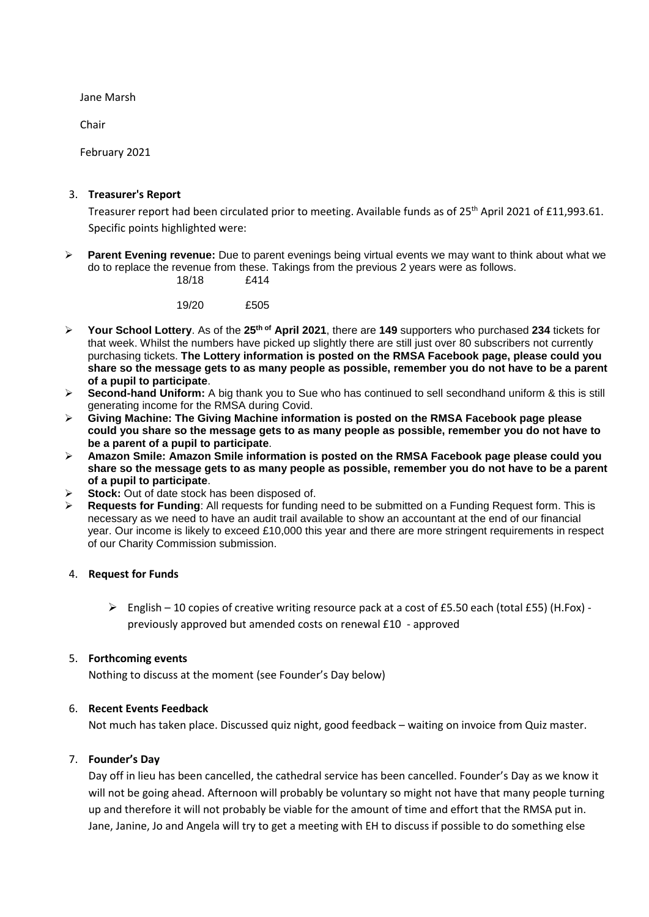Jane Marsh

Chair

February 2021

### 3. **Treasurer's Report**

Treasurer report had been circulated prior to meeting. Available funds as of 25<sup>th</sup> April 2021 of £11,993.61. Specific points highlighted were:

➢ **Parent Evening revenue:** Due to parent evenings being virtual events we may want to think about what we do to replace the revenue from these. Takings from the previous 2 years were as follows.

18/18 £414

19/20 £505

- ➢ **Your School Lottery**. As of the **25th of April 2021**, there are **149** supporters who purchased **234** tickets for that week. Whilst the numbers have picked up slightly there are still just over 80 subscribers not currently purchasing tickets. **The Lottery information is posted on the RMSA Facebook page, please could you share so the message gets to as many people as possible, remember you do not have to be a parent of a pupil to participate**.
- ➢ **Second-hand Uniform:** A big thank you to Sue who has continued to sell secondhand uniform & this is still generating income for the RMSA during Covid.
- ➢ **Giving Machine: The Giving Machine information is posted on the RMSA Facebook page please could you share so the message gets to as many people as possible, remember you do not have to be a parent of a pupil to participate**.
- ➢ **Amazon Smile: Amazon Smile information is posted on the RMSA Facebook page please could you share so the message gets to as many people as possible, remember you do not have to be a parent of a pupil to participate**.
- Stock: Out of date stock has been disposed of.
- ➢ **Requests for Funding**: All requests for funding need to be submitted on a Funding Request form. This is necessary as we need to have an audit trail available to show an accountant at the end of our financial year. Our income is likely to exceed £10,000 this year and there are more stringent requirements in respect of our Charity Commission submission.

### 4. **Request for Funds**

 $\triangleright$  English – 10 copies of creative writing resource pack at a cost of £5.50 each (total £55) (H.Fox) previously approved but amended costs on renewal £10 - approved

### 5. **Forthcoming events**

Nothing to discuss at the moment (see Founder's Day below)

### 6. **Recent Events Feedback**

Not much has taken place. Discussed quiz night, good feedback – waiting on invoice from Quiz master.

### 7. **Founder's Day**

Day off in lieu has been cancelled, the cathedral service has been cancelled. Founder's Day as we know it will not be going ahead. Afternoon will probably be voluntary so might not have that many people turning up and therefore it will not probably be viable for the amount of time and effort that the RMSA put in. Jane, Janine, Jo and Angela will try to get a meeting with EH to discuss if possible to do something else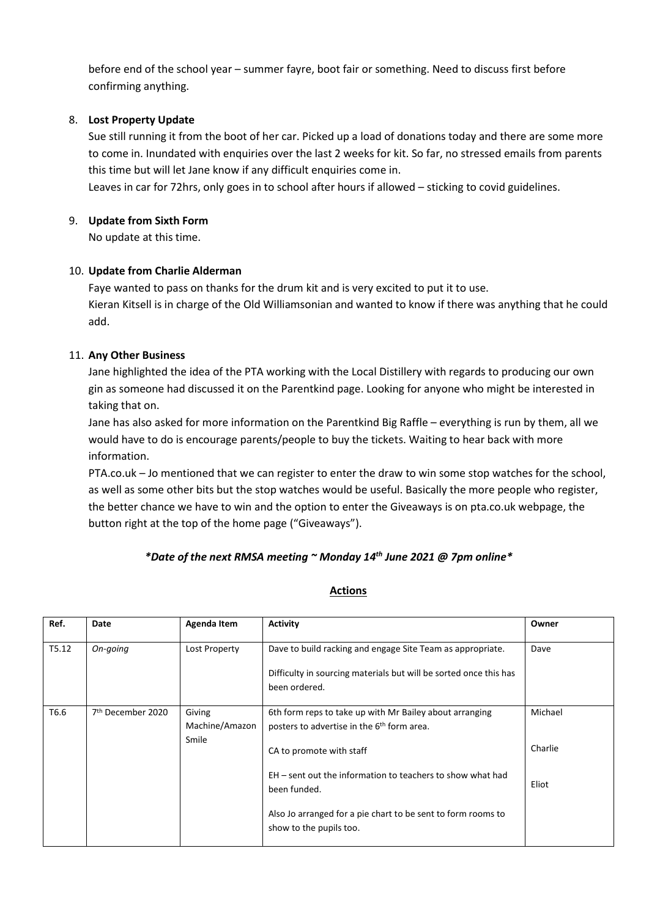before end of the school year – summer fayre, boot fair or something. Need to discuss first before confirming anything.

### 8. **Lost Property Update**

Sue still running it from the boot of her car. Picked up a load of donations today and there are some more to come in. Inundated with enquiries over the last 2 weeks for kit. So far, no stressed emails from parents this time but will let Jane know if any difficult enquiries come in.

Leaves in car for 72hrs, only goes in to school after hours if allowed – sticking to covid guidelines.

### 9. **Update from Sixth Form**

No update at this time.

## 10. **Update from Charlie Alderman**

Faye wanted to pass on thanks for the drum kit and is very excited to put it to use. Kieran Kitsell is in charge of the Old Williamsonian and wanted to know if there was anything that he could add.

## 11. **Any Other Business**

Jane highlighted the idea of the PTA working with the Local Distillery with regards to producing our own gin as someone had discussed it on the Parentkind page. Looking for anyone who might be interested in taking that on.

Jane has also asked for more information on the Parentkind Big Raffle – everything is run by them, all we would have to do is encourage parents/people to buy the tickets. Waiting to hear back with more information.

PTA.co.uk – Jo mentioned that we can register to enter the draw to win some stop watches for the school, as well as some other bits but the stop watches would be useful. Basically the more people who register, the better chance we have to win and the option to enter the Giveaways is on pta.co.uk webpage, the button right at the top of the home page ("Giveaways").

# *\*Date of the next RMSA meeting ~ Monday 14th June 2021 @ 7pm online\**

| Actions |  |
|---------|--|
|         |  |

| Ref.  | Date                          | Agenda Item    | Activity                                                                                | Owner   |
|-------|-------------------------------|----------------|-----------------------------------------------------------------------------------------|---------|
| T5.12 | On-going                      | Lost Property  | Dave to build racking and engage Site Team as appropriate.                              | Dave    |
|       |                               |                | Difficulty in sourcing materials but will be sorted once this has                       |         |
|       |                               |                | been ordered.                                                                           |         |
| T6.6  | 7 <sup>th</sup> December 2020 | Giving         | 6th form reps to take up with Mr Bailey about arranging                                 | Michael |
|       |                               | Machine/Amazon | posters to advertise in the 6 <sup>th</sup> form area.                                  |         |
|       |                               | Smile          | CA to promote with staff                                                                | Charlie |
|       |                               |                | EH – sent out the information to teachers to show what had                              |         |
|       |                               |                | been funded.                                                                            | Eliot   |
|       |                               |                | Also Jo arranged for a pie chart to be sent to form rooms to<br>show to the pupils too. |         |
|       |                               |                |                                                                                         |         |